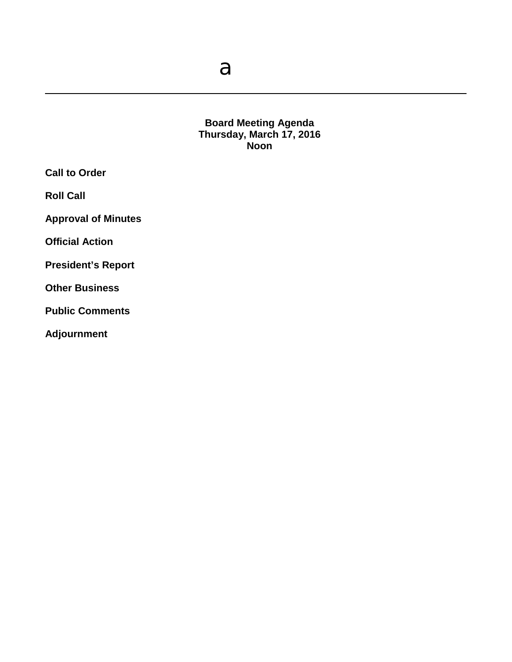a

### **Board Meeting Agenda Thursday, March 17, 2016 Noon**

**Call to Order**

**Roll Call**

**Approval of Minutes**

**Official Action** 

**President's Report**

**Other Business**

**Public Comments**

**Adjournment**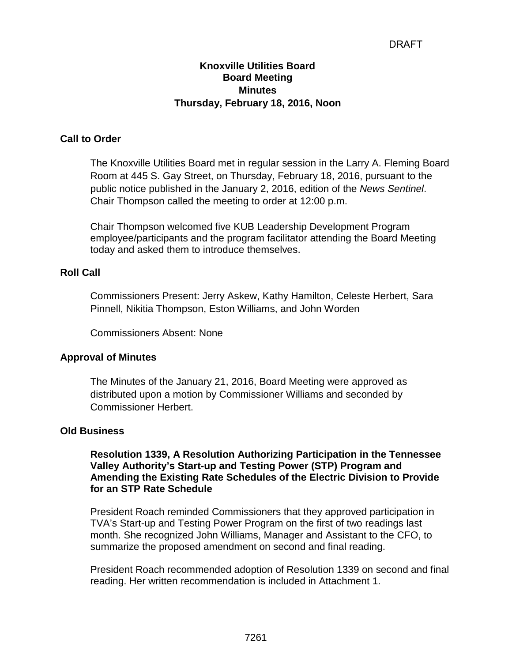# DRAFT

## **Knoxville Utilities Board Board Meeting Minutes Thursday, February 18, 2016, Noon**

### **Call to Order**

The Knoxville Utilities Board met in regular session in the Larry A. Fleming Board Room at 445 S. Gay Street, on Thursday, February 18, 2016, pursuant to the public notice published in the January 2, 2016, edition of the *News Sentinel*. Chair Thompson called the meeting to order at 12:00 p.m.

Chair Thompson welcomed five KUB Leadership Development Program employee/participants and the program facilitator attending the Board Meeting today and asked them to introduce themselves.

# **Roll Call**

Commissioners Present: Jerry Askew, Kathy Hamilton, Celeste Herbert, Sara Pinnell, Nikitia Thompson, Eston Williams, and John Worden

Commissioners Absent: None

## **Approval of Minutes**

The Minutes of the January 21, 2016, Board Meeting were approved as distributed upon a motion by Commissioner Williams and seconded by Commissioner Herbert.

#### **Old Business**

**Resolution 1339, A Resolution Authorizing Participation in the Tennessee Valley Authority's Start-up and Testing Power (STP) Program and Amending the Existing Rate Schedules of the Electric Division to Provide for an STP Rate Schedule**

President Roach reminded Commissioners that they approved participation in TVA's Start-up and Testing Power Program on the first of two readings last month. She recognized John Williams, Manager and Assistant to the CFO, to summarize the proposed amendment on second and final reading.

President Roach recommended adoption of Resolution 1339 on second and final reading. Her written recommendation is included in Attachment 1.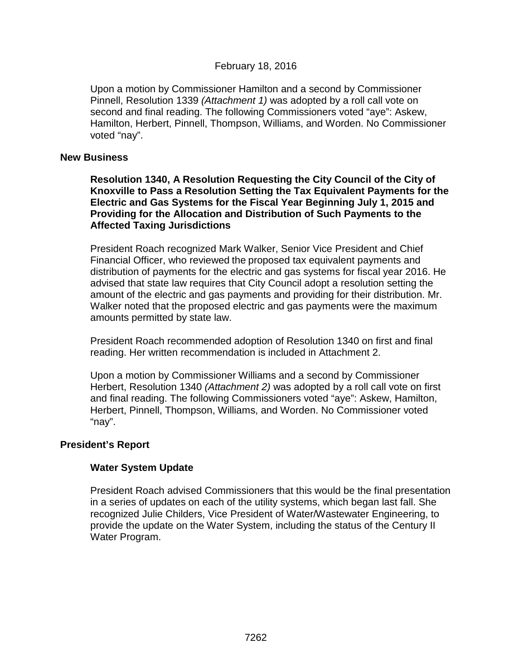Upon a motion by Commissioner Hamilton and a second by Commissioner Pinnell, Resolution 1339 *(Attachment 1)* was adopted by a roll call vote on second and final reading. The following Commissioners voted "aye": Askew, Hamilton, Herbert, Pinnell, Thompson, Williams, and Worden. No Commissioner voted "nay".

#### **New Business**

**Resolution 1340, A Resolution Requesting the City Council of the City of Knoxville to Pass a Resolution Setting the Tax Equivalent Payments for the Electric and Gas Systems for the Fiscal Year Beginning July 1, 2015 and Providing for the Allocation and Distribution of Such Payments to the Affected Taxing Jurisdictions**

President Roach recognized Mark Walker, Senior Vice President and Chief Financial Officer, who reviewed the proposed tax equivalent payments and distribution of payments for the electric and gas systems for fiscal year 2016. He advised that state law requires that City Council adopt a resolution setting the amount of the electric and gas payments and providing for their distribution. Mr. Walker noted that the proposed electric and gas payments were the maximum amounts permitted by state law.

President Roach recommended adoption of Resolution 1340 on first and final reading. Her written recommendation is included in Attachment 2.

Upon a motion by Commissioner Williams and a second by Commissioner Herbert, Resolution 1340 *(Attachment 2)* was adopted by a roll call vote on first and final reading. The following Commissioners voted "aye": Askew, Hamilton, Herbert, Pinnell, Thompson, Williams, and Worden. No Commissioner voted "nay".

#### **President's Report**

## **Water System Update**

President Roach advised Commissioners that this would be the final presentation in a series of updates on each of the utility systems, which began last fall. She recognized Julie Childers, Vice President of Water/Wastewater Engineering, to provide the update on the Water System, including the status of the Century II Water Program.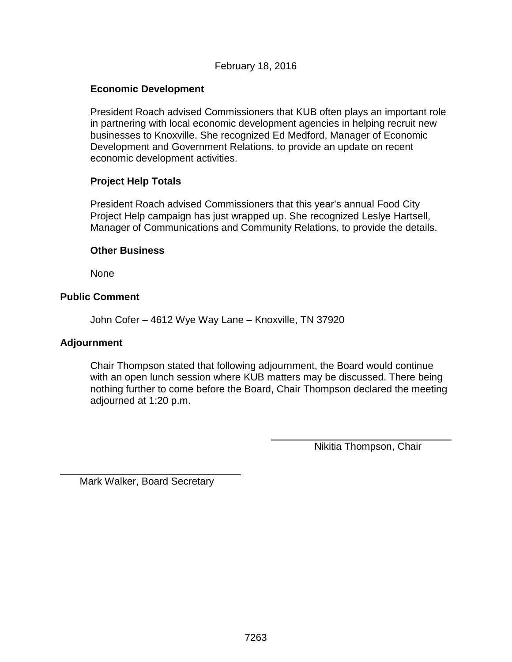# February 18, 2016

# **Economic Development**

President Roach advised Commissioners that KUB often plays an important role in partnering with local economic development agencies in helping recruit new businesses to Knoxville. She recognized Ed Medford, Manager of Economic Development and Government Relations, to provide an update on recent economic development activities.

## **Project Help Totals**

President Roach advised Commissioners that this year's annual Food City Project Help campaign has just wrapped up. She recognized Leslye Hartsell, Manager of Communications and Community Relations, to provide the details.

#### **Other Business**

None

# **Public Comment**

John Cofer – 4612 Wye Way Lane – Knoxville, TN 37920

## **Adjournment**

 $\overline{a}$ 

Chair Thompson stated that following adjournment, the Board would continue with an open lunch session where KUB matters may be discussed. There being nothing further to come before the Board, Chair Thompson declared the meeting adjourned at 1:20 p.m.

Nikitia Thompson, Chair

Mark Walker, Board Secretary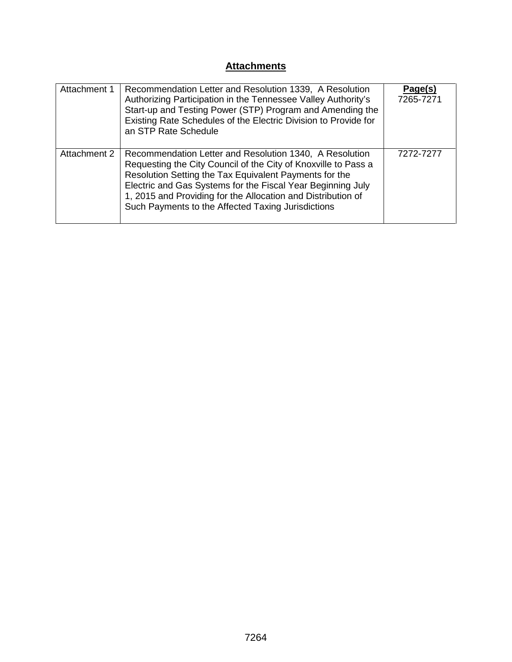# **Attachments**

| Attachment 1 | Recommendation Letter and Resolution 1339, A Resolution<br>Authorizing Participation in the Tennessee Valley Authority's<br>Start-up and Testing Power (STP) Program and Amending the<br>Existing Rate Schedules of the Electric Division to Provide for<br>an STP Rate Schedule                                                                                         | Page(s)<br>7265-7271 |
|--------------|--------------------------------------------------------------------------------------------------------------------------------------------------------------------------------------------------------------------------------------------------------------------------------------------------------------------------------------------------------------------------|----------------------|
| Attachment 2 | Recommendation Letter and Resolution 1340, A Resolution<br>Requesting the City Council of the City of Knoxville to Pass a<br>Resolution Setting the Tax Equivalent Payments for the<br>Electric and Gas Systems for the Fiscal Year Beginning July<br>1, 2015 and Providing for the Allocation and Distribution of<br>Such Payments to the Affected Taxing Jurisdictions | 7272-7277            |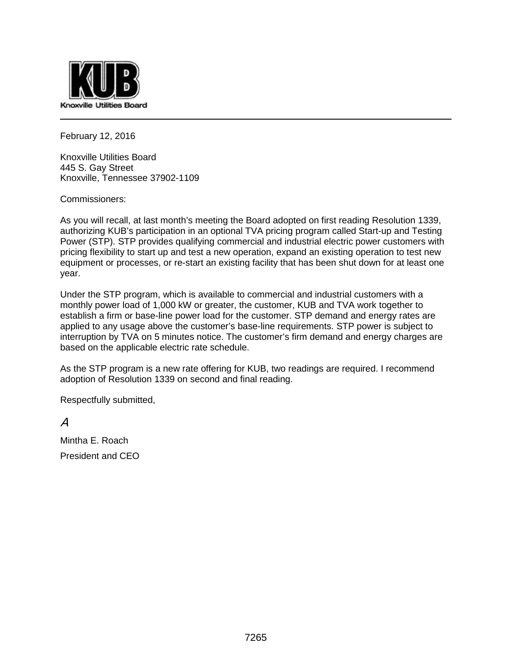

February 12, 2016

Knoxville Utilities Board 445 S. Gay Street Knoxville, Tennessee 37902-1109

Commissioners:

As you will recall, at last month's meeting the Board adopted on first reading Resolution 1339, authorizing KUB's participation in an optional TVA pricing program called Start-up and Testing Power (STP). STP provides qualifying commercial and industrial electric power customers with pricing flexibility to start up and test a new operation, expand an existing operation to test new equipment or processes, or re-start an existing facility that has been shut down for at least one year.

Under the STP program, which is available to commercial and industrial customers with a monthly power load of 1,000 kW or greater, the customer, KUB and TVA work together to establish a firm or base-line power load for the customer. STP demand and energy rates are applied to any usage above the customer's base-line requirements. STP power is subject to interruption by TVA on 5 minutes notice. The customer's firm demand and energy charges are based on the applicable electric rate schedule.

As the STP program is a new rate offering for KUB, two readings are required. I recommend adoption of Resolution 1339 on second and final reading.

Respectfully submitted,

 $\overline{A}$ 

Mintha E. Roach President and CEO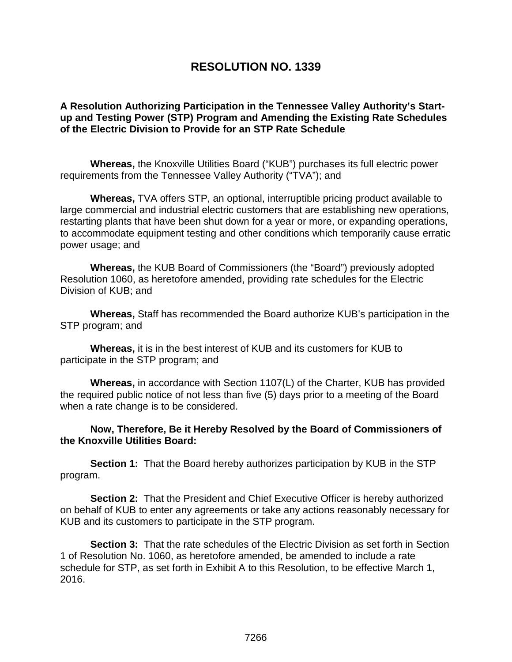# **RESOLUTION NO. 1339**

**A Resolution Authorizing Participation in the Tennessee Valley Authority's Startup and Testing Power (STP) Program and Amending the Existing Rate Schedules of the Electric Division to Provide for an STP Rate Schedule**

**Whereas,** the Knoxville Utilities Board ("KUB") purchases its full electric power requirements from the Tennessee Valley Authority ("TVA"); and

**Whereas,** TVA offers STP, an optional, interruptible pricing product available to large commercial and industrial electric customers that are establishing new operations, restarting plants that have been shut down for a year or more, or expanding operations, to accommodate equipment testing and other conditions which temporarily cause erratic power usage; and

**Whereas,** the KUB Board of Commissioners (the "Board") previously adopted Resolution 1060, as heretofore amended, providing rate schedules for the Electric Division of KUB; and

**Whereas,** Staff has recommended the Board authorize KUB's participation in the STP program; and

**Whereas,** it is in the best interest of KUB and its customers for KUB to participate in the STP program; and

**Whereas,** in accordance with Section 1107(L) of the Charter, KUB has provided the required public notice of not less than five (5) days prior to a meeting of the Board when a rate change is to be considered.

**Now, Therefore, Be it Hereby Resolved by the Board of Commissioners of the Knoxville Utilities Board:**

**Section 1:** That the Board hereby authorizes participation by KUB in the STP program.

**Section 2:** That the President and Chief Executive Officer is hereby authorized on behalf of KUB to enter any agreements or take any actions reasonably necessary for KUB and its customers to participate in the STP program.

**Section 3:** That the rate schedules of the Electric Division as set forth in Section 1 of Resolution No. 1060, as heretofore amended, be amended to include a rate schedule for STP, as set forth in Exhibit A to this Resolution, to be effective March 1, 2016.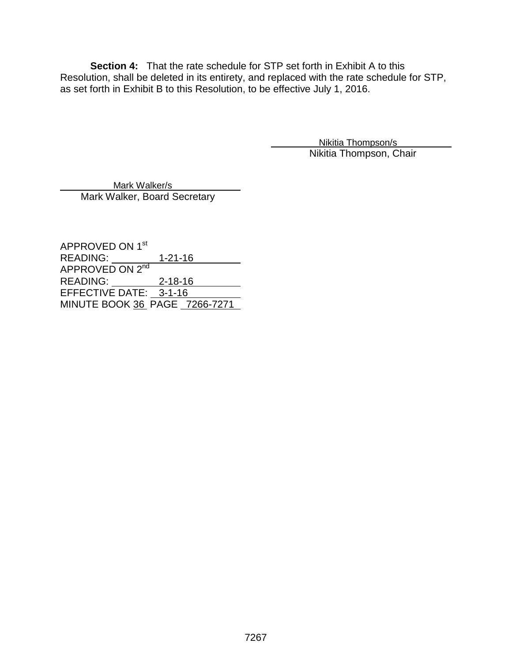**Section 4:** That the rate schedule for STP set forth in Exhibit A to this Resolution, shall be deleted in its entirety, and replaced with the rate schedule for STP, as set forth in Exhibit B to this Resolution, to be effective July 1, 2016.

> Nikitia Thompson/s Nikitia Thompson, Chair

 Mark Walker/s Mark Walker, Board Secretary

APPROVED ON 1st READING: 1-21-16 APPROVED ON 2<sup>nd</sup> READING: 2-18-16 EFFECTIVE DATE: 3-1-16 MINUTE BOOK 36 PAGE 7266-7271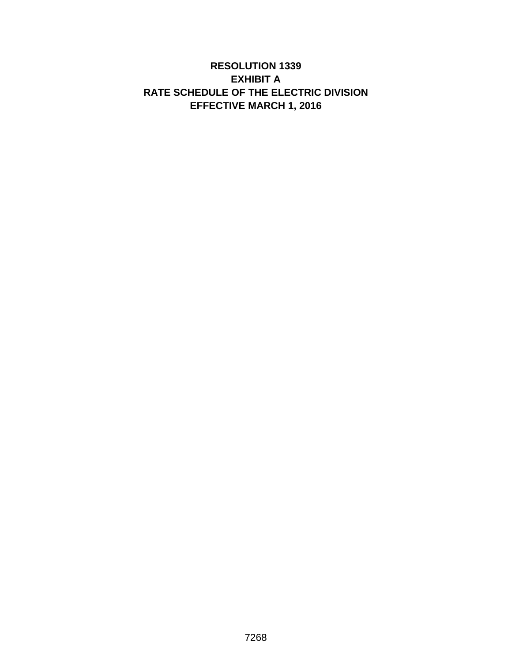# **RESOLUTION 1339 EXHIBIT A RATE SCHEDULE OF THE ELECTRIC DIVISION EFFECTIVE MARCH 1, 2016**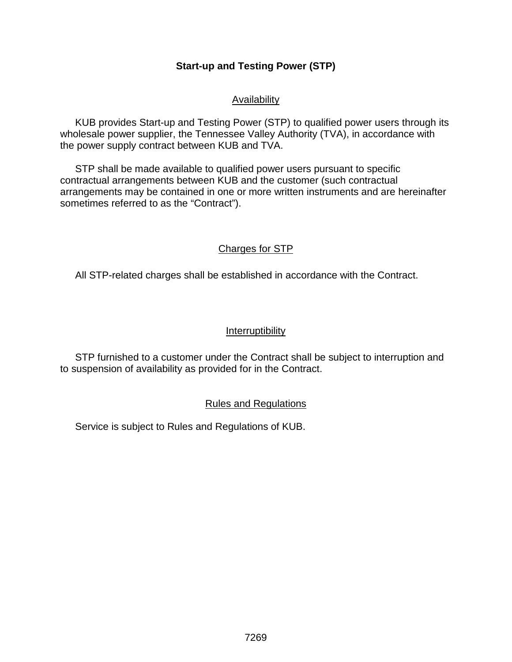# **Start-up and Testing Power (STP)**

## Availability

KUB provides Start-up and Testing Power (STP) to qualified power users through its wholesale power supplier, the Tennessee Valley Authority (TVA), in accordance with the power supply contract between KUB and TVA.

STP shall be made available to qualified power users pursuant to specific contractual arrangements between KUB and the customer (such contractual arrangements may be contained in one or more written instruments and are hereinafter sometimes referred to as the "Contract").

# Charges for STP

All STP-related charges shall be established in accordance with the Contract.

# Interruptibility

STP furnished to a customer under the Contract shall be subject to interruption and to suspension of availability as provided for in the Contract.

# Rules and Regulations

Service is subject to Rules and Regulations of KUB.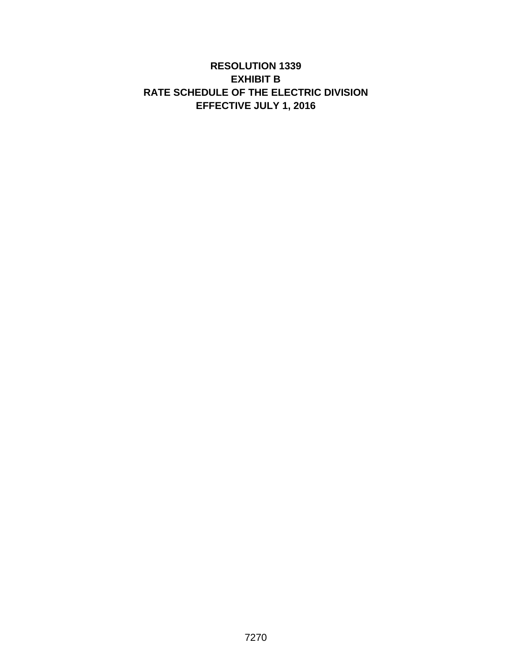# **RESOLUTION 1339 EXHIBIT B RATE SCHEDULE OF THE ELECTRIC DIVISION EFFECTIVE JULY 1, 2016**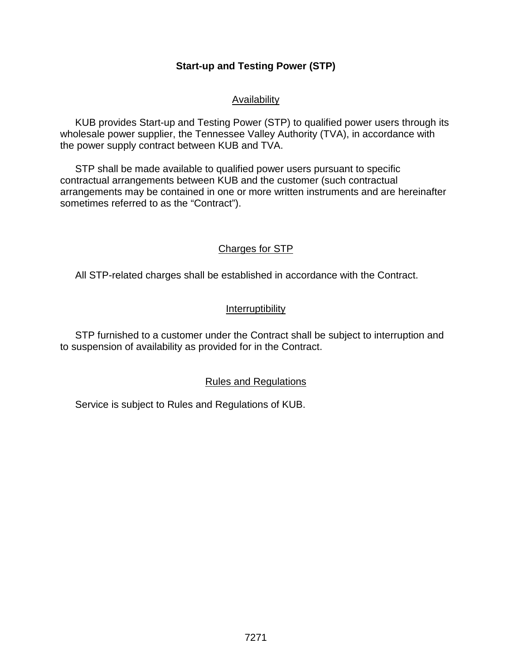# **Start-up and Testing Power (STP)**

## Availability

KUB provides Start-up and Testing Power (STP) to qualified power users through its wholesale power supplier, the Tennessee Valley Authority (TVA), in accordance with the power supply contract between KUB and TVA.

STP shall be made available to qualified power users pursuant to specific contractual arrangements between KUB and the customer (such contractual arrangements may be contained in one or more written instruments and are hereinafter sometimes referred to as the "Contract").

# Charges for STP

All STP-related charges shall be established in accordance with the Contract.

## Interruptibility

STP furnished to a customer under the Contract shall be subject to interruption and to suspension of availability as provided for in the Contract.

## Rules and Regulations

Service is subject to Rules and Regulations of KUB.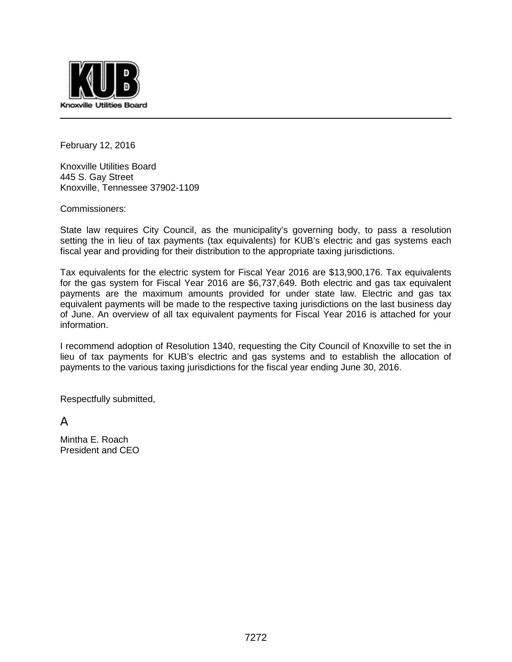

February 12, 2016

Knoxville Utilities Board 445 S. Gay Street Knoxville, Tennessee 37902-1109

Commissioners:

State law requires City Council, as the municipality's governing body, to pass a resolution setting the in lieu of tax payments (tax equivalents) for KUB's electric and gas systems each fiscal year and providing for their distribution to the appropriate taxing jurisdictions.

Tax equivalents for the electric system for Fiscal Year 2016 are \$13,900,176. Tax equivalents for the gas system for Fiscal Year 2016 are \$6,737,649. Both electric and gas tax equivalent payments are the maximum amounts provided for under state law. Electric and gas tax equivalent payments will be made to the respective taxing jurisdictions on the last business day of June. An overview of all tax equivalent payments for Fiscal Year 2016 is attached for your information.

I recommend adoption of Resolution 1340, requesting the City Council of Knoxville to set the in lieu of tax payments for KUB's electric and gas systems and to establish the allocation of payments to the various taxing jurisdictions for the fiscal year ending June 30, 2016.

Respectfully submitted,

A

Mintha E. Roach President and CEO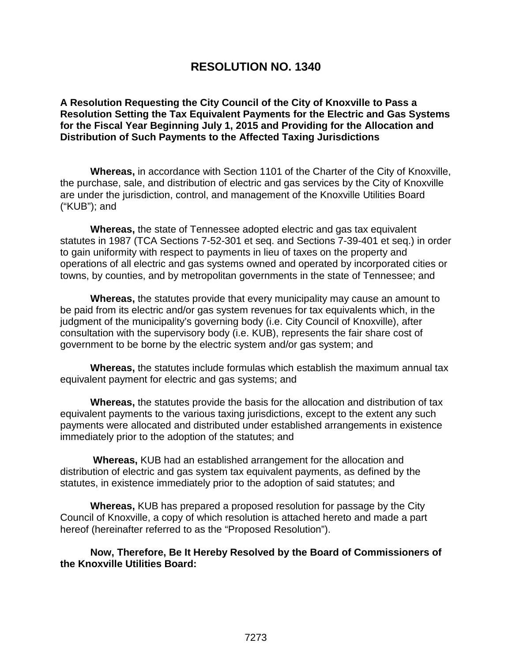# **RESOLUTION NO. 1340**

**A Resolution Requesting the City Council of the City of Knoxville to Pass a Resolution Setting the Tax Equivalent Payments for the Electric and Gas Systems for the Fiscal Year Beginning July 1, 2015 and Providing for the Allocation and Distribution of Such Payments to the Affected Taxing Jurisdictions**

**Whereas,** in accordance with Section 1101 of the Charter of the City of Knoxville, the purchase, sale, and distribution of electric and gas services by the City of Knoxville are under the jurisdiction, control, and management of the Knoxville Utilities Board ("KUB"); and

**Whereas,** the state of Tennessee adopted electric and gas tax equivalent statutes in 1987 (TCA Sections 7-52-301 et seq. and Sections 7-39-401 et seq.) in order to gain uniformity with respect to payments in lieu of taxes on the property and operations of all electric and gas systems owned and operated by incorporated cities or towns, by counties, and by metropolitan governments in the state of Tennessee; and

**Whereas,** the statutes provide that every municipality may cause an amount to be paid from its electric and/or gas system revenues for tax equivalents which, in the judgment of the municipality's governing body (i.e. City Council of Knoxville), after consultation with the supervisory body (i.e. KUB), represents the fair share cost of government to be borne by the electric system and/or gas system; and

**Whereas,** the statutes include formulas which establish the maximum annual tax equivalent payment for electric and gas systems; and

**Whereas,** the statutes provide the basis for the allocation and distribution of tax equivalent payments to the various taxing jurisdictions, except to the extent any such payments were allocated and distributed under established arrangements in existence immediately prior to the adoption of the statutes; and

 **Whereas,** KUB had an established arrangement for the allocation and distribution of electric and gas system tax equivalent payments, as defined by the statutes, in existence immediately prior to the adoption of said statutes; and

**Whereas,** KUB has prepared a proposed resolution for passage by the City Council of Knoxville, a copy of which resolution is attached hereto and made a part hereof (hereinafter referred to as the "Proposed Resolution").

**Now, Therefore, Be It Hereby Resolved by the Board of Commissioners of the Knoxville Utilities Board:**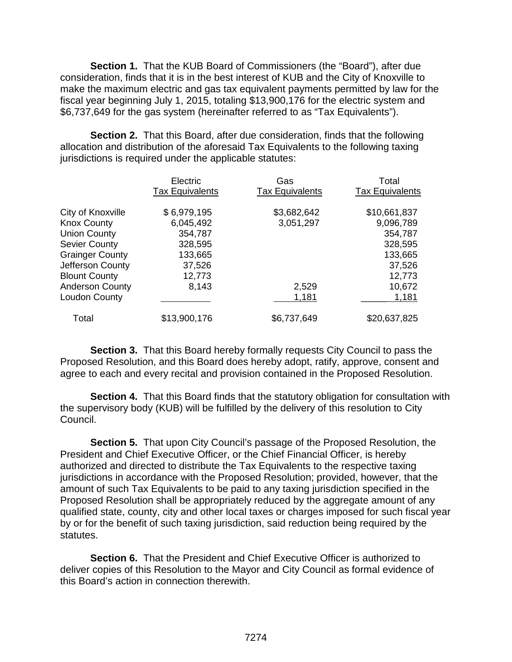**Section 1.** That the KUB Board of Commissioners (the "Board"), after due consideration, finds that it is in the best interest of KUB and the City of Knoxville to make the maximum electric and gas tax equivalent payments permitted by law for the fiscal year beginning July 1, 2015, totaling \$13,900,176 for the electric system and \$6,737,649 for the gas system (hereinafter referred to as "Tax Equivalents").

**Section 2.** That this Board, after due consideration, finds that the following allocation and distribution of the aforesaid Tax Equivalents to the following taxing jurisdictions is required under the applicable statutes:

|                        | Electric<br><b>Tax Equivalents</b> | Gas<br><b>Tax Equivalents</b> | Total<br><b>Tax Equivalents</b> |
|------------------------|------------------------------------|-------------------------------|---------------------------------|
| City of Knoxville      | \$6,979,195                        | \$3,682,642                   | \$10,661,837                    |
| <b>Knox County</b>     | 6,045,492                          | 3,051,297                     | 9,096,789                       |
| <b>Union County</b>    | 354,787                            |                               | 354,787                         |
| <b>Sevier County</b>   | 328,595                            |                               | 328,595                         |
| <b>Grainger County</b> | 133,665                            |                               | 133,665                         |
| Jefferson County       | 37,526                             |                               | 37,526                          |
| <b>Blount County</b>   | 12,773                             |                               | 12,773                          |
| <b>Anderson County</b> | 8,143                              | 2,529                         | 10,672                          |
| <b>Loudon County</b>   |                                    | 1,181                         | 1,181                           |
| Total                  | \$13,900,176                       | \$6,737,649                   | \$20,637,825                    |

**Section 3.** That this Board hereby formally requests City Council to pass the Proposed Resolution, and this Board does hereby adopt, ratify, approve, consent and agree to each and every recital and provision contained in the Proposed Resolution.

**Section 4.** That this Board finds that the statutory obligation for consultation with the supervisory body (KUB) will be fulfilled by the delivery of this resolution to City Council.

**Section 5.** That upon City Council's passage of the Proposed Resolution, the President and Chief Executive Officer, or the Chief Financial Officer, is hereby authorized and directed to distribute the Tax Equivalents to the respective taxing jurisdictions in accordance with the Proposed Resolution; provided, however, that the amount of such Tax Equivalents to be paid to any taxing jurisdiction specified in the Proposed Resolution shall be appropriately reduced by the aggregate amount of any qualified state, county, city and other local taxes or charges imposed for such fiscal year by or for the benefit of such taxing jurisdiction, said reduction being required by the statutes.

**Section 6.** That the President and Chief Executive Officer is authorized to deliver copies of this Resolution to the Mayor and City Council as formal evidence of this Board's action in connection therewith.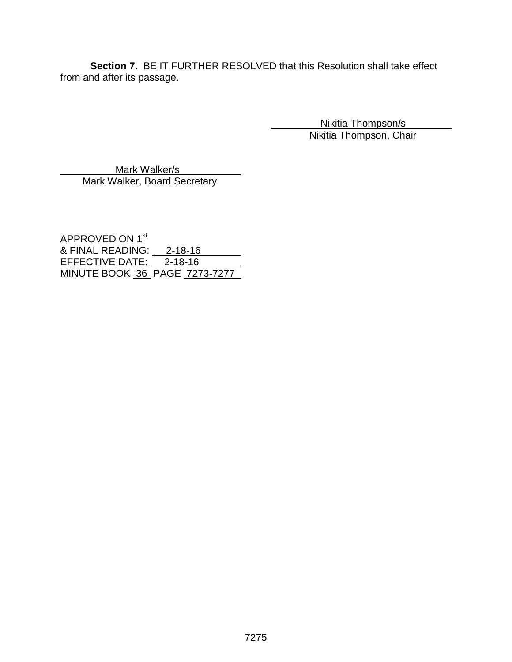**Section 7.** BE IT FURTHER RESOLVED that this Resolution shall take effect from and after its passage.

> Nikitia Thompson/s Nikitia Thompson, Chair

 Mark Walker/s Mark Walker, Board Secretary

APPROVED ON 1<sup>st</sup> <u>& FINAL READING: \_\_ 2-18-16</u> EFFECTIVE DATE: <u>2-18-16</u> MINUTE BOOK 36 PAGE 7273-7277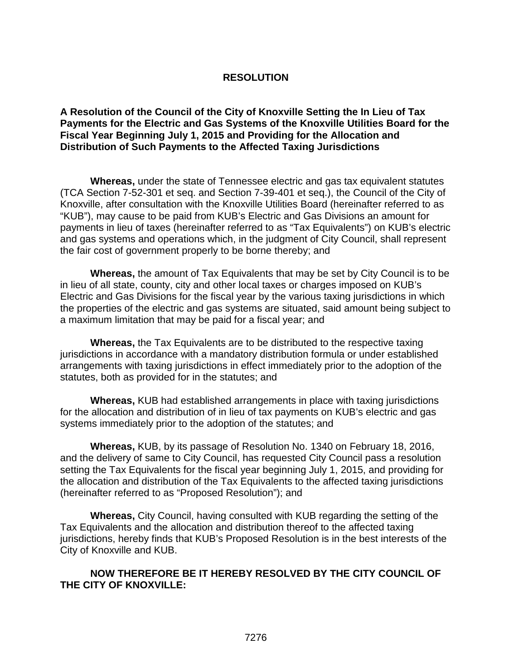## **RESOLUTION**

**A Resolution of the Council of the City of Knoxville Setting the In Lieu of Tax Payments for the Electric and Gas Systems of the Knoxville Utilities Board for the Fiscal Year Beginning July 1, 2015 and Providing for the Allocation and Distribution of Such Payments to the Affected Taxing Jurisdictions**

**Whereas,** under the state of Tennessee electric and gas tax equivalent statutes (TCA Section 7-52-301 et seq. and Section 7-39-401 et seq.), the Council of the City of Knoxville, after consultation with the Knoxville Utilities Board (hereinafter referred to as "KUB"), may cause to be paid from KUB's Electric and Gas Divisions an amount for payments in lieu of taxes (hereinafter referred to as "Tax Equivalents") on KUB's electric and gas systems and operations which, in the judgment of City Council, shall represent the fair cost of government properly to be borne thereby; and

**Whereas,** the amount of Tax Equivalents that may be set by City Council is to be in lieu of all state, county, city and other local taxes or charges imposed on KUB's Electric and Gas Divisions for the fiscal year by the various taxing jurisdictions in which the properties of the electric and gas systems are situated, said amount being subject to a maximum limitation that may be paid for a fiscal year; and

**Whereas,** the Tax Equivalents are to be distributed to the respective taxing jurisdictions in accordance with a mandatory distribution formula or under established arrangements with taxing jurisdictions in effect immediately prior to the adoption of the statutes, both as provided for in the statutes; and

**Whereas,** KUB had established arrangements in place with taxing jurisdictions for the allocation and distribution of in lieu of tax payments on KUB's electric and gas systems immediately prior to the adoption of the statutes; and

**Whereas,** KUB, by its passage of Resolution No. 1340 on February 18, 2016, and the delivery of same to City Council, has requested City Council pass a resolution setting the Tax Equivalents for the fiscal year beginning July 1, 2015, and providing for the allocation and distribution of the Tax Equivalents to the affected taxing jurisdictions (hereinafter referred to as "Proposed Resolution"); and

**Whereas,** City Council, having consulted with KUB regarding the setting of the Tax Equivalents and the allocation and distribution thereof to the affected taxing jurisdictions, hereby finds that KUB's Proposed Resolution is in the best interests of the City of Knoxville and KUB.

# **NOW THEREFORE BE IT HEREBY RESOLVED BY THE CITY COUNCIL OF THE CITY OF KNOXVILLE:**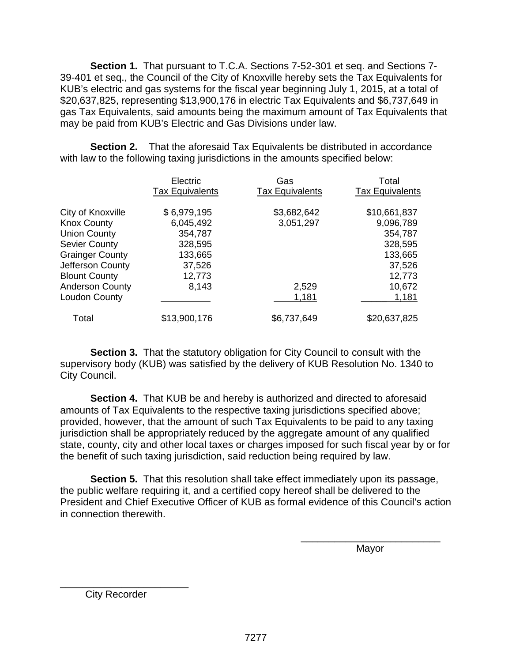**Section 1.** That pursuant to T.C.A. Sections 7-52-301 et seq. and Sections 7- 39-401 et seq., the Council of the City of Knoxville hereby sets the Tax Equivalents for KUB's electric and gas systems for the fiscal year beginning July 1, 2015, at a total of \$20,637,825, representing \$13,900,176 in electric Tax Equivalents and \$6,737,649 in gas Tax Equivalents, said amounts being the maximum amount of Tax Equivalents that may be paid from KUB's Electric and Gas Divisions under law.

**Section 2.** That the aforesaid Tax Equivalents be distributed in accordance with law to the following taxing jurisdictions in the amounts specified below:

|                        | Electric<br><b>Tax Equivalents</b> | Gas<br><b>Tax Equivalents</b> | Total<br><b>Tax Equivalents</b> |
|------------------------|------------------------------------|-------------------------------|---------------------------------|
| City of Knoxville      | \$6,979,195                        | \$3,682,642                   | \$10,661,837                    |
| <b>Knox County</b>     | 6,045,492                          | 3,051,297                     | 9,096,789                       |
| <b>Union County</b>    | 354,787                            |                               | 354,787                         |
| <b>Sevier County</b>   | 328,595                            |                               | 328,595                         |
| <b>Grainger County</b> | 133,665                            |                               | 133,665                         |
| Jefferson County       | 37,526                             |                               | 37,526                          |
| <b>Blount County</b>   | 12,773                             |                               | 12,773                          |
| <b>Anderson County</b> | 8,143                              | 2,529                         | 10,672                          |
| <b>Loudon County</b>   |                                    | 1,181                         | 1,181                           |
| Total                  | \$13,900,176                       | \$6,737,649                   | \$20,637,825                    |

**Section 3.** That the statutory obligation for City Council to consult with the supervisory body (KUB) was satisfied by the delivery of KUB Resolution No. 1340 to City Council.

**Section 4.** That KUB be and hereby is authorized and directed to aforesaid amounts of Tax Equivalents to the respective taxing jurisdictions specified above; provided, however, that the amount of such Tax Equivalents to be paid to any taxing jurisdiction shall be appropriately reduced by the aggregate amount of any qualified state, county, city and other local taxes or charges imposed for such fiscal year by or for the benefit of such taxing jurisdiction, said reduction being required by law.

**Section 5.** That this resolution shall take effect immediately upon its passage, the public welfare requiring it, and a certified copy hereof shall be delivered to the President and Chief Executive Officer of KUB as formal evidence of this Council's action in connection therewith.

 $\overline{\phantom{a}}$  , and the contract of the contract of the contract of the contract of the contract of the contract of the contract of the contract of the contract of the contract of the contract of the contract of the contrac

distribution of the contract of the contract of the Mayor Mayor

\_\_\_\_\_\_\_\_\_\_\_\_\_\_\_\_\_\_\_\_\_\_\_ City Recorder